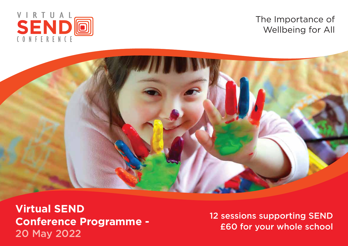

The Importance of Wellbeing for All



**Virtual SEND Conference Programme -** 20 May 2022

12 sessions supporting SEND £60 for your whole school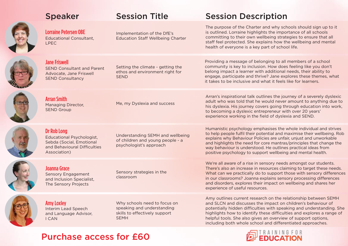| <b>Speaker</b>                                                                                                              | <b>Session Title</b>                                                                                       | <b>Session Description</b>                                                                                                                                                                                                                                                                                                                                                                                               |
|-----------------------------------------------------------------------------------------------------------------------------|------------------------------------------------------------------------------------------------------------|--------------------------------------------------------------------------------------------------------------------------------------------------------------------------------------------------------------------------------------------------------------------------------------------------------------------------------------------------------------------------------------------------------------------------|
| <b>Lorraine Petersen OBE</b><br><b>Educational Consultant,</b><br><b>LPEC</b>                                               | Implementation of the DfE's<br><b>Education Staff Wellbeing Charter</b>                                    | The purpose of the Charter and why schools should sign up to it<br>is outlined. Lorraine highlights the importance of all schools<br>committing to their own wellbeing strategies to ensure that all<br>staff feel protected. She explains how the wellbeing and mental<br>health of everyone is a key part of school life.                                                                                              |
| <b>Jane Friswell</b><br><b>SEND Consultant and Parent</b><br>Advocate, Jane Friswell<br><b>SEND Consultancy</b>             | Setting the climate - getting the<br>ethos and environment right for<br><b>SEND</b>                        | Providing a message of belonging to all members of a school<br>community is key to inclusion. How does feeling like you don't<br>belong impact a learner with additional needs, their ability to<br>engage, participate and thrive? Jane explores these themes, what<br>it takes to be inclusive and what it feels like for learners.                                                                                    |
| <b>Arran Smith</b><br><b>Managing Director,</b><br><b>SEND Group</b>                                                        | Me, my Dyslexia and success                                                                                | Arran's inspirational talk outlines the journey of a severely dyslexic<br>adult who was told that he would never amount to anything due to<br>his dyslexia. His journey covers going through education into work,<br>to becoming a dyslexic entrepreneur with over 20 years'<br>experience working in the field of dyslexia and SEND.                                                                                    |
| Dr Rob Long<br><b>Educational Psychologist,</b><br>Sebda (Social, Emotional<br>and Behavioural Difficulties<br>Association) | Understanding SEMH and wellbeing<br>of children and young people - a<br>psychologist's approach            | Humanistic psychology emphasises the whole individual and strives<br>to help people fulfil their potential and maximise their wellbeing. Rob<br>explains why Behaviour Policies are unfair, unjust and unworkable<br>and highlights the need for core mantras/principles that change the<br>way behaviour is understood. He outlines practical ideas from<br>positive psychology to support wellbeing and mental health. |
| Joanna Grace<br><b>Sensory Engagement</b><br>and Inclusion Specialist,<br>The Sensory Projects                              | Sensory strategies in the<br>classroom                                                                     | We're all aware of a rise in sensory needs amongst our students.<br>There's also an increase in resources claiming to target these needs.<br>What can we practically do to support those with sensory differences<br>in our classrooms? Joanna explains sensory processing differences<br>and disorders, explores their impact on wellbeing and shares her<br>experience of useful resources.                            |
| <b>Amy Loxley</b><br>Interim Lead Speech<br>and Language Advisor,<br><b>I CAN</b>                                           | Why schools need to focus on<br>speaking and understanding<br>skills to effectively support<br><b>SEMH</b> | Amy outlines current research on the relationship between SEMH<br>and SLCN and discusses the impact on children's behaviour of<br>potentially hidden difficulties with speaking and understanding. She<br>highlights how to identify these difficulties and explores a range of<br>helpful tools. She also gives an overview of support options,<br>including both whole school and differentiated approaches.           |

## Purchase access for £60

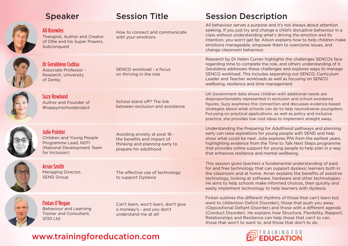| <b>Speaker</b>                                                                                                            | <b>Session Title</b>                                                                                                   | <b>Session Description</b>                                                                                                                                                                                                                                                                                                                                                                                                  |
|---------------------------------------------------------------------------------------------------------------------------|------------------------------------------------------------------------------------------------------------------------|-----------------------------------------------------------------------------------------------------------------------------------------------------------------------------------------------------------------------------------------------------------------------------------------------------------------------------------------------------------------------------------------------------------------------------|
| <b>Ali Knowles</b><br>Therapist, Author and Creator<br>of Ollie and his Super Powers,<br>Subconquest                      | How to connect and communicate<br>with your emotions                                                                   | All behaviour serves a purpose and it's not always about attention<br>seeking. If you just try and change a child's disruptive behaviour in a<br>class without understanding what's driving the emotion and its<br>intention, you won't get far. Alison explains how to help children make<br>emotions manageable, empower them to overcome issues, and<br>change classroom behaviour.                                      |
| Dr Geraldene Codina<br>Associate Professor -<br>Research, University<br>of Derby                                          | SENCO workload - a focus<br>on thriving in the role                                                                    | Research by Dr Helen Curran highlights the challenges SENCOs face<br>regarding time to complete the role, and others understanding of it.<br>Geraldene addresses these challenges and explores ways to manage<br>SENCO workload. This includes separating out SENCO, Curriculum<br>Leader and Teacher workloads as well as focusing on SENCO<br>wellbeing, resilience and time management.                                  |
| <b>Suzy Rowland</b><br>Author and Founder of<br>#happyinschoolproject                                                     | School stand off? The link<br>between exclusion and avoidance                                                          | UK Government data shows children with additional needs are<br>disproportionately represented in exclusion and school avoidance<br>figures. Suzy examines this connection and discusses evidence based<br>strategies about what schools can do to help neurodiverse youngsters.<br>Focusing on practical applications, as well as policy and inclusive<br>practice, she provides low cost ideas to implement straight away. |
| <b>Julie Pointer</b><br>Children and Young People<br>Programme Lead, NDTi<br>(National Development Team<br>for Inclusion) | Avoiding anxiety at post 16 -<br>the benefits and impact of<br>thinking and planning early to<br>prepare for adulthood | Understanding the Preparing for Adulthood pathways and planning<br>early can raise aspirations for young people with SEND and help<br>show what could be next. Julie explores PfA from the earliest years,<br>highlighting evidence from the Time to Talk Next Steps programme<br>that provides online support for young people to help plan in a way<br>that enhances resilience and mental wellbeing.                     |
| <b>Arran Smith</b><br>Managing Director,<br><b>SEND Group</b>                                                             | The effective use of technology<br>to support Dyslexia                                                                 | This session gives teachers a fundamental understanding of paid<br>for and free technology that can support dyslexic learners both in<br>the classroom and at home. Arran explains the benefits of assistive<br>technology, looking at software, hardware and other technologies.<br>He aims to help schools make informed choices, then quickly and<br>easily implement technology to help learners with dyslexia.         |
| <b>Fintan O'Regan</b><br><b>Behaviour and Learning</b><br>Trainer and Consultant,<br>Sf30 Ltd                             | Can't learn, won't learn, don't give<br>a monkey's - and you don't<br>understand me at all!                            | Fintan outlines the different rhythms of those that can't learn but<br>want to (Attention Deficit Disorder), those that push you away<br>(Oppositional Defiant Disorder) and those with a different agenda<br>(Conduct Disorder). He explains how Structure, Flexibility, Rapport,<br>Relationships and Resilience can help those that can't to can,<br>those that won't to want to, and those that don't to do.            |

## www.trainingforeducation.com